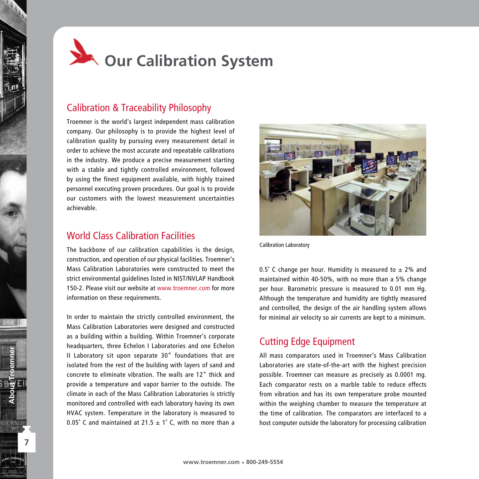

# Calibration & Traceability Philosophy

Troemner is the world's largest independent mass calibration company. Our philosophy is to provide the highest level of calibration quality by pursuing every measurement detail in order to achieve the most accurate and repeatable calibrations in the industry. We produce a precise measurement starting with a stable and tightly controlled environment, followed by using the finest equipment available, with highly trained personnel executing proven procedures. Our goal is to provide our customers with the lowest measurement uncertainties achievable.

# World Class Calibration Facilities

The backbone of our calibration capabilities is the design, construction, and operation of our physical facilities. Troemner's Mass Calibration Laboratories were constructed to meet the strict environmental guidelines listed in NIST/NVLAP Handbook 150-2. Please visit our website at www.troemner.com for more information on these requirements.

In order to maintain the strictly controlled environment, the Mass Calibration Laboratories were designed and constructed as a building within a building. Within Troemner's corporate headquarters, three Echelon I Laboratories and one Echelon II Laboratory sit upon separate 30" foundations that are isolated from the rest of the building with layers of sand and concrete to eliminate vibration. The walls are 12" thick and provide a temperature and vapor barrier to the outside. The climate in each of the Mass Calibration Laboratories is strictly monitored and controlled with each laboratory having its own HVAC system. Temperature in the laboratory is measured to 0.05° C and maintained at 21.5  $\pm$  1° C, with no more than a

**7**

WEL

**About Troemner**



Calibration Laboratory

0.5° C change per hour. Humidity is measured to  $\pm$  2% and maintained within 40-50%, with no more than a 5% change per hour. Barometric pressure is measured to 0.01 mm Hg. Although the temperature and humidity are tightly measured and controlled, the design of the air handling system allows for minimal air velocity so air currents are kept to a minimum.

## Cutting Edge Equipment

All mass comparators used in Troemner's Mass Calibration Laboratories are state-of-the-art with the highest precision possible. Troemner can measure as precisely as 0.0001 mg. Each comparator rests on a marble table to reduce effects from vibration and has its own temperature probe mounted within the weighing chamber to measure the temperature at the time of calibration. The comparators are interfaced to a host computer outside the laboratory for processing calibration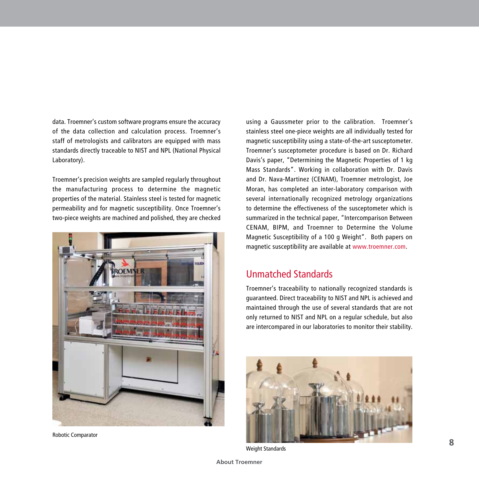data. Troemner's custom software programs ensure the accuracy of the data collection and calculation process. Troemner's staff of metrologists and calibrators are equipped with mass standards directly traceable to NIST and NPL (National Physical Laboratory).

Troemner's precision weights are sampled regularly throughout the manufacturing process to determine the magnetic properties of the material. Stainless steel is tested for magnetic permeability and for magnetic susceptibility. Once Troemner's two-piece weights are machined and polished, they are checked



Robotic Comparator

using a Gaussmeter prior to the calibration. Troemner's stainless steel one-piece weights are all individually tested for magnetic susceptibility using a state-of-the-art susceptometer. Troemner's susceptometer procedure is based on Dr. Richard Davis's paper, "Determining the Magnetic Properties of 1 kg Mass Standards". Working in collaboration with Dr. Davis and Dr. Nava-Martinez (CENAM), Troemner metrologist, Joe Moran, has completed an inter-laboratory comparison with several internationally recognized metrology organizations to determine the effectiveness of the susceptometer which is summarized in the technical paper, "Intercomparison Between CENAM, BIPM, and Troemner to Determine the Volume Magnetic Susceptibility of a 100 g Weight". Both papers on magnetic susceptibility are available at www.troemner.com.

## Unmatched Standards

Troemner's traceability to nationally recognized standards is guaranteed. Direct traceability to NIST and NPL is achieved and maintained through the use of several standards that are not only returned to NIST and NPL on a regular schedule, but also are intercompared in our laboratories to monitor their stability.



Weight Standards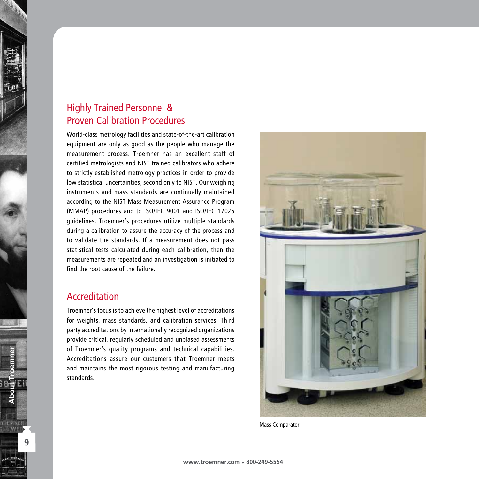# Highly Trained Personnel & Proven Calibration Procedures

World-class metrology facilities and state-of-the-art calibration equipment are only as good as the people who manage the measurement process. Troemner has an excellent staff of certified metrologists and NIST trained calibrators who adhere to strictly established metrology practices in order to provide low statistical uncertainties, second only to NIST. Our weighing instruments and mass standards are continually maintained according to the NIST Mass Measurement Assurance Program (MMAP) procedures and to ISO/IEC 9001 and ISO/IEC 17025 guidelines. Troemner's procedures utilize multiple standards during a calibration to assure the accuracy of the process and to validate the standards. If a measurement does not pass statistical tests calculated during each calibration, then the measurements are repeated and an investigation is initiated to find the root cause of the failure.

## Accreditation

Troemner's focus is to achieve the highest level of accreditations for weights, mass standards, and calibration services. Third party accreditations by internationally recognized organizations provide critical, regularly scheduled and unbiased assessments of Troemner's quality programs and technical capabilities. Accreditations assure our customers that Troemner meets and maintains the most rigorous testing and manufacturing standards.



Mass Comparator

**About Troemner**

**RUE MNER** WELL